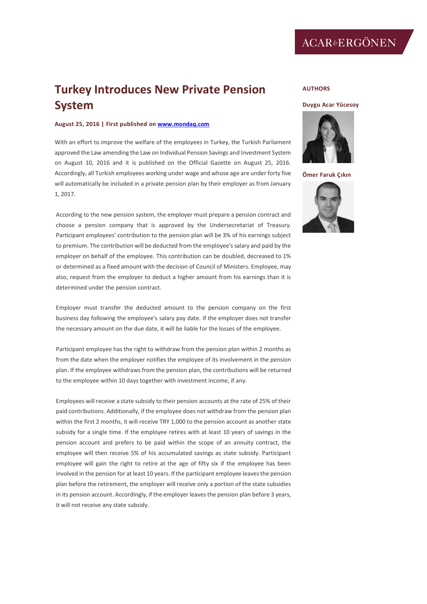## **Turkey Introduces New Private Pension System**

## **August 25, 2016 | First published on [www.mondaq.com](http://www.mondaq.com/)**

With an effort to improve the welfare of the employees in Turkey, the Turkish Parliament approved the Law amending the Law on Individual Pension Savings and Investment System on August 10, 2016 and it is published on the Official Gazette on August 25, 2016. Accordingly, all Turkish employees working under wage and whose age are under forty five will automatically be included in a private pension plan by their employer as from January 1, 2017.

According to the new pension system, the employer must prepare a pension contract and choose a pension company that is approved by the Undersecretariat of Treasury. Participant employees' contribution to the pension plan will be 3% of his earnings subject to premium. The contribution will be deducted from the employee's salary and paid by the employer on behalf of the employee. This contribution can be doubled, decreased to 1% or determined as a fixed amount with the decision of Council of Ministers. Employee, may also, request from the employer to deduct a higher amount from his earnings than it is determined under the pension contract.

Employer must transfer the deducted amount to the pension company on the first business day following the employee's salary pay date. If the employer does not transfer the necessary amount on the due date, it will be liable for the losses of the employee.

Participant employee has the right to withdraw from the pension plan within 2 months as from the date when the employer notifies the employee of its involvement in the pension plan. If the employee withdraws from the pension plan, the contributions will be returned to the employee within 10 days together with investment income, if any.

Employees will receive a state subsidy to their pension accounts at the rate of 25% of their paid contributions. Additionally, if the employee does not withdraw from the pension plan within the first 2 months, it will receive TRY 1,000 to the pension account as another state subsidy for a single time. If the employee retires with at least 10 years of savings in the pension account and prefers to be paid within the scope of an annuity contract, the employee will then receive 5% of his accumulated savings as state subsidy. Participant employee will gain the right to retire at the age of fifty six if the employee has been involved in the pension for at least 10 years. If the participant employee leaves the pension plan before the retirement, the employer will receive only a portion of the state subsidies in its pension account. Accordingly, if the employer leaves the pension plan before 3 years, it will not receive any state subsidy.

## **AUTHORS**

## **[Duygu Acar Yücesoy](http://www.internationallawoffice.com/gesr.ashx?l=7TV5ZFU)**



**[Ömer Faruk Ç](http://www.internationallawoffice.com/gesr.ashx?l=7TV5ZFX)ıkın**